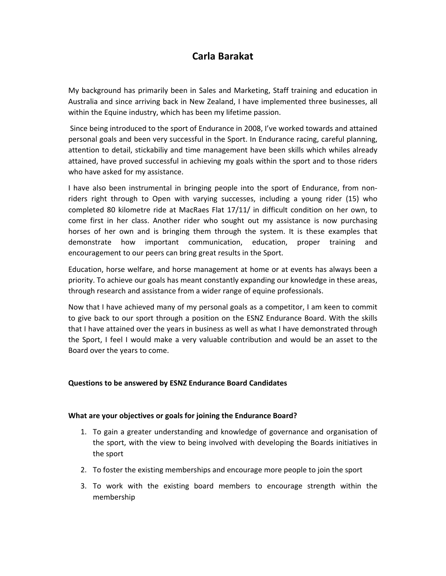# **Carla Barakat**

My background has primarily been in Sales and Marketing, Staff training and education in Australia and since arriving back in New Zealand, I have implemented three businesses, all within the Equine industry, which has been my lifetime passion.

 Since being introduced to the sport of Endurance in 2008, I've worked towards and attained personal goals and been very successful in the Sport. In Endurance racing, careful planning, attention to detail, stickabiliy and time management have been skills which whiles already attained, have proved successful in achieving my goals within the sport and to those riders who have asked for my assistance.

I have also been instrumental in bringing people into the sport of Endurance, from nonriders right through to Open with varying successes, including a young rider (15) who completed 80 kilometre ride at MacRaes Flat 17/11/ in difficult condition on her own, to come first in her class. Another rider who sought out my assistance is now purchasing horses of her own and is bringing them through the system. It is these examples that demonstrate how important communication, education, proper training and encouragement to our peers can bring great results in the Sport.

Education, horse welfare, and horse management at home or at events has always been a priority. To achieve our goals has meant constantly expanding our knowledge in these areas, through research and assistance from a wider range of equine professionals.

Now that I have achieved many of my personal goals as a competitor, I am keen to commit to give back to our sport through a position on the ESNZ Endurance Board. With the skills that I have attained over the years in business as well as what I have demonstrated through the Sport, I feel I would make a very valuable contribution and would be an asset to the Board over the years to come.

## **Questions to be answered by ESNZ Endurance Board Candidates**

## **What are your objectives or goals for joining the Endurance Board?**

- 1. To gain a greater understanding and knowledge of governance and organisation of the sport, with the view to being involved with developing the Boards initiatives in the sport
- 2. To foster the existing memberships and encourage more people to join the sport
- 3. To work with the existing board members to encourage strength within the membership